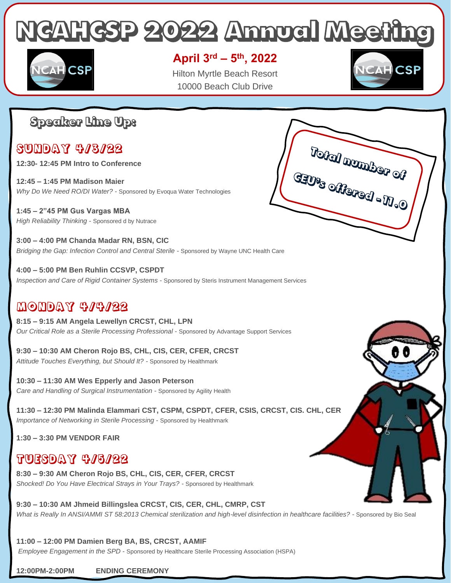# **NCAHCSP 2022 Annual Meeting**



#### **April 3rd – 5 th, 2022**

Hilton Myrtle Beach Resort 10000 Beach Club Drive



## **Speaker Line Up:**

## Sunday 4/3/22

- **12:30- 12:45 PM Intro to Conference**
- **12:45 – 1:45 PM Madison Maier**  *Why Do We Need RO/DI Water?* - Sponsored by Evoqua Water Technologies

**1:45 – 2"45 PM Gus Vargas MBA**  *High Reliability Thinking* - Sponsored d by Nutrace

**3:00 – 4:00 PM Chanda Madar RN, BSN, CIC**  *Bridging the Gap: Infection Control and Central Sterile -* Sponsored by Wayne UNC Health Care

**4:00 – 5:00 PM Ben Ruhlin CCSVP, CSPDT**  *Inspection and Care of Rigid Container Systems* - Sponsored by Steris Instrument Management Services

#### Monday 4/4/22

**8:15 – 9:15 AM Angela Lewellyn CRCST, CHL, LPN**  *Our Critical Role as a Sterile Processing Professional* - Sponsored by Advantage Support Services

**9:30 – 10:30 AM Cheron Rojo BS, CHL, CIS, CER, CFER, CRCST**  *Attitude Touches Everything, but Should It? -* Sponsored by Healthmark

**10:30 – 11:30 AM Wes Epperly and Jason Peterson**  *Care and Handling of Surgical Instrumentation* - Sponsored by Agility Health

**11:30 – 12:30 PM Malinda Elammari CST, CSPM, CSPDT, CFER, CSIS, CRCST, CIS. CHL, CER**  *Importance of Networking in Sterile Processing* - Sponsored by Healthmark

**1:30 – 3:30 PM VENDOR FAIR**

### Tuesday 4/5/22

**8:30 – 9:30 AM Cheron Rojo BS, CHL, CIS, CER, CFER, CRCST**  *Shocked! Do You Have Electrical Strays in Your Trays? -* Sponsored by Healthmark

**9:30 – 10:30 AM Jhmeid Billingslea CRCST, CIS, CER, CHL, CMRP, CST**  *What is Really In ANSI/AMMI ST 58:2013 Chemical sterilization and high-level disinfection in healthcare facilities? -* Sponsored by Bio Seal

**11:00 – 12:00 PM Damien Berg BA, BS, CRCST, AAMIF** 

*Employee Engagement in the SPD* - Sponsored by Healthcare Sterile Processing Association (HSPA)

#### **12:00PM-2:00PM ENDING CEREMONY**

Total mumber of